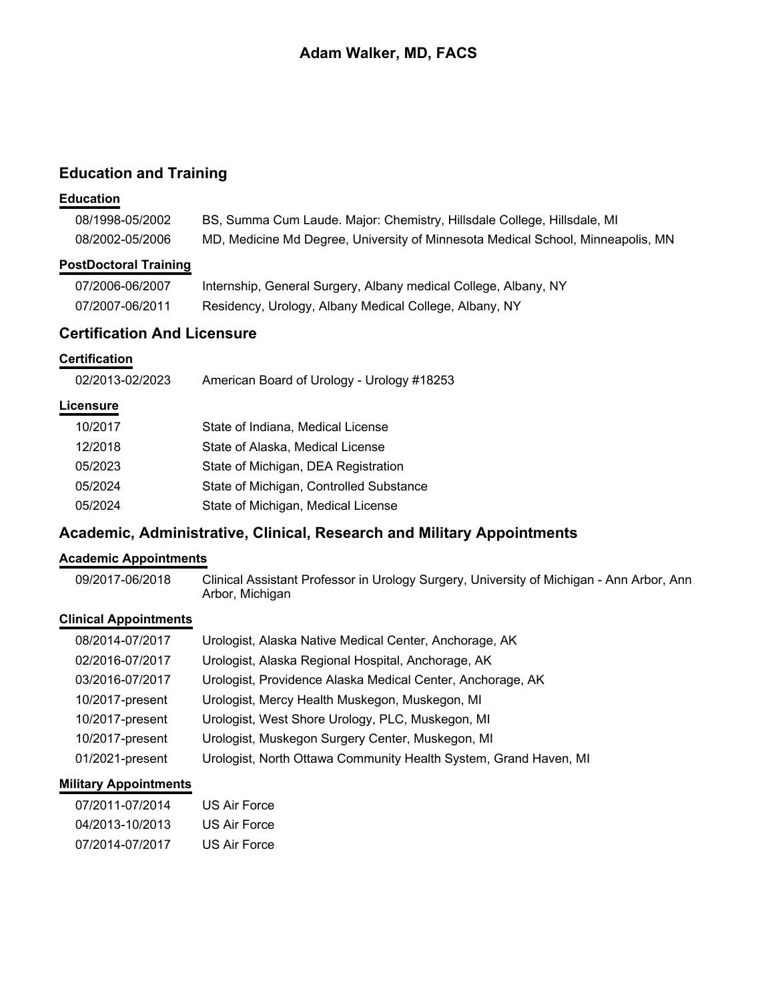# **Education and Training**

#### **Education**

| 08/1998-05/2002 | BS, Summa Cum Laude. Major: Chemistry, Hillsdale College, Hillsdale, MI         |
|-----------------|---------------------------------------------------------------------------------|
| 08/2002-05/2006 | MD, Medicine Md Degree, University of Minnesota Medical School, Minneapolis, MN |

### **PostDoctoral Training**

| 07/2006-06/2007 | Internship, General Surgery, Albany medical College, Albany, NY |
|-----------------|-----------------------------------------------------------------|
| 07/2007-06/2011 | Residency, Urology, Albany Medical College, Albany, NY          |

# **Certification And Licensure**

# **Certification**

| American Board of Urology - Urology #18253<br>02/2013-02/2023 |
|---------------------------------------------------------------|
|---------------------------------------------------------------|

### **Licensure**

| 10/2017 | State of Indiana, Medical License       |
|---------|-----------------------------------------|
| 12/2018 | State of Alaska, Medical License        |
| 05/2023 | State of Michigan, DEA Registration     |
| 05/2024 | State of Michigan, Controlled Substance |
| 05/2024 | State of Michigan, Medical License      |

# **Academic, Administrative, Clinical, Research and Military Appointments**

### **Academic Appointments**

09/2017-06/2018 Clinical Assistant Professor in Urology Surgery, University of Michigan - Ann Arbor, Ann Arbor, Michigan

### **Clinical Appointments**

| 08/2014-07/2017 | Urologist, Alaska Native Medical Center, Anchorage, AK           |
|-----------------|------------------------------------------------------------------|
| 02/2016-07/2017 | Urologist, Alaska Regional Hospital, Anchorage, AK               |
| 03/2016-07/2017 | Urologist, Providence Alaska Medical Center, Anchorage, AK       |
| 10/2017-present | Urologist, Mercy Health Muskegon, Muskegon, MI                   |
| 10/2017-present | Urologist, West Shore Urology, PLC, Muskegon, MI                 |
| 10/2017-present | Urologist, Muskegon Surgery Center, Muskegon, MI                 |
| 01/2021-present | Urologist, North Ottawa Community Health System, Grand Haven, MI |

#### **Military Appointments**

| 07/2011-07/2014 | US Air Force |
|-----------------|--------------|
| 04/2013-10/2013 | US Air Force |
| 07/2014-07/2017 | US Air Force |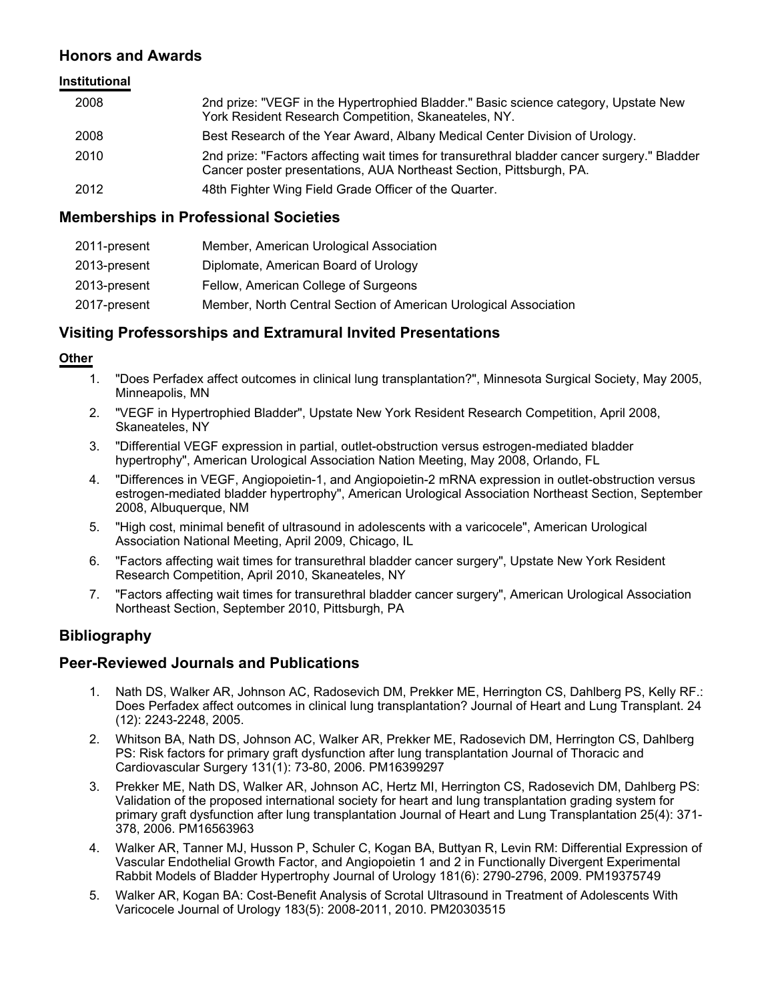# **Honors and Awards**

#### **Institutional**

| 2008 | 2nd prize: "VEGF in the Hypertrophied Bladder." Basic science category, Upstate New<br>York Resident Research Competition, Skaneateles, NY.                        |
|------|--------------------------------------------------------------------------------------------------------------------------------------------------------------------|
| 2008 | Best Research of the Year Award, Albany Medical Center Division of Urology.                                                                                        |
| 2010 | 2nd prize: "Factors affecting wait times for transurethral bladder cancer surgery." Bladder<br>Cancer poster presentations, AUA Northeast Section, Pittsburgh, PA. |
| 2012 | 48th Fighter Wing Field Grade Officer of the Quarter.                                                                                                              |

#### **Memberships in Professional Societies**

| 2011-present | Member, American Urological Association                          |
|--------------|------------------------------------------------------------------|
| 2013-present | Diplomate, American Board of Urology                             |
| 2013-present | Fellow, American College of Surgeons                             |
| 2017-present | Member, North Central Section of American Urological Association |

# **Visiting Professorships and Extramural Invited Presentations**

#### **Other**

- 1. "Does Perfadex affect outcomes in clinical lung transplantation?", Minnesota Surgical Society, May 2005, Minneapolis, MN
- 2. "VEGF in Hypertrophied Bladder", Upstate New York Resident Research Competition, April 2008, Skaneateles, NY
- 3. "Differential VEGF expression in partial, outlet-obstruction versus estrogen-mediated bladder hypertrophy", American Urological Association Nation Meeting, May 2008, Orlando, FL
- 4. "Differences in VEGF, Angiopoietin-1, and Angiopoietin-2 mRNA expression in outlet-obstruction versus estrogen-mediated bladder hypertrophy", American Urological Association Northeast Section, September 2008, Albuquerque, NM
- 5. "High cost, minimal benefit of ultrasound in adolescents with a varicocele", American Urological Association National Meeting, April 2009, Chicago, IL
- 6. "Factors affecting wait times for transurethral bladder cancer surgery", Upstate New York Resident Research Competition, April 2010, Skaneateles, NY
- 7. "Factors affecting wait times for transurethral bladder cancer surgery", American Urological Association Northeast Section, September 2010, Pittsburgh, PA

# **Bibliography**

#### **Peer-Reviewed Journals and Publications**

- 1. Nath DS, Walker AR, Johnson AC, Radosevich DM, Prekker ME, Herrington CS, Dahlberg PS, Kelly RF.: Does Perfadex affect outcomes in clinical lung transplantation? Journal of Heart and Lung Transplant. 24 (12): 2243-2248, 2005.
- 2. Whitson BA, Nath DS, Johnson AC, Walker AR, Prekker ME, Radosevich DM, Herrington CS, Dahlberg PS: Risk factors for primary graft dysfunction after lung transplantation Journal of Thoracic and Cardiovascular Surgery 131(1): 73-80, 2006. PM16399297
- 3. Prekker ME, Nath DS, Walker AR, Johnson AC, Hertz MI, Herrington CS, Radosevich DM, Dahlberg PS: Validation of the proposed international society for heart and lung transplantation grading system for primary graft dysfunction after lung transplantation Journal of Heart and Lung Transplantation 25(4): 371- 378, 2006. PM16563963
- 4. Walker AR, Tanner MJ, Husson P, Schuler C, Kogan BA, Buttyan R, Levin RM: Differential Expression of Vascular Endothelial Growth Factor, and Angiopoietin 1 and 2 in Functionally Divergent Experimental Rabbit Models of Bladder Hypertrophy Journal of Urology 181(6): 2790-2796, 2009. PM19375749
- 5. Walker AR, Kogan BA: Cost-Benefit Analysis of Scrotal Ultrasound in Treatment of Adolescents With Varicocele Journal of Urology 183(5): 2008-2011, 2010. PM20303515